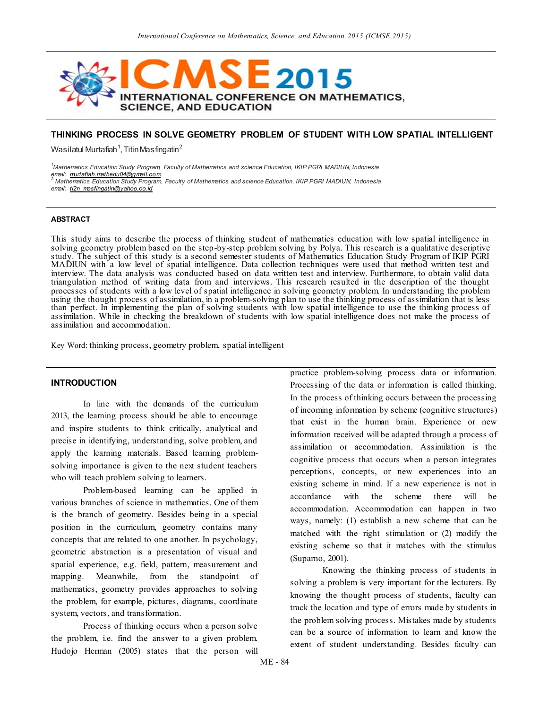

# **THINKING PROCESS IN SOLVE GEOMETRY PROBLEM OF STUDENT WITH LOW SPATIAL INTELLIGENT**

Wasilatul Murtafiah $^1$ , Titin Masfingatin $^2$ 

*<sup>1</sup>Mathematics Education Study Program, Faculty of Mathematics and science Education, IKIP PGRI MADIUN, Indonesia email: [murtafiah.mathedu04@gmail.com](mailto:murtafiah.mathedu04@gmail.com) <sup>2</sup> Mathematics Education Study Program, Faculty of Mathematics and science Education, IKIP PGRI MADIUN, Indonesia email: [ti2n\\_masfingatin@yahoo.co.id](mailto:ti2n_masfingatin@yahoo.co.id)*

#### **ABSTRACT**

This study aims to describe the process of thinking student of mathematics education with low spatial intelligence in solving geometry problem based on the step-by-step problem solving by Polya. This research is a qualitative descriptive study. The subject of this study is a second semester students of Mathematics Education Study Program of IKIP PGRI MADIUN with a low level of spatial intelligence. Data collection techniques were used that method written test and interview. The data analysis was conducted based on data written test and interview. Furthermore, to obtain valid data triangulation method of writing data from and interviews. This research resulted in the description of the thought processes of students with a low level of spatial intelligence in solving geometry problem. In understanding the problem using the thought process of assimilation, in a problem-solving plan to use the thinking process of assimilation that is less than perfect. In implementing the plan of solving students with low spatial intelligence to use the thinking process of assimilation. While in checking the breakdown of students with low spatial intelligence does not make the process of assimilation and accommodation.

Key Word: thinking process, geometry problem, spatial intelligent

## **INTRODUCTION**

In line with the demands of the curriculum 2013, the learning process should be able to encourage and inspire students to think critically, analytical and precise in identifying, understanding, solve problem, and apply the learning materials. Based learning problemsolving importance is given to the next student teachers who will teach problem solving to learners.

Problem-based learning can be applied in various branches of science in mathematics. One of them is the branch of geometry. Besides being in a special position in the curriculum, geometry contains many concepts that are related to one another. In psychology, geometric abstraction is a presentation of visual and spatial experience, e.g. field, pattern, measurement and mapping. Meanwhile, from the standpoint of mathematics, geometry provides approaches to solving the problem, for example, pictures, diagrams, coordinate system, vectors, and transformation.

Process of thinking occurs when a person solve the problem, i.e. find the answer to a given problem. Hudojo Herman (2005) states that the person will

practice problem-solving process data or information. Processing of the data or information is called thinking. In the process of thinking occurs between the processing of incoming information by scheme (cognitive structures) that exist in the human brain. Experience or new information received will be adapted through a process of assimilation or accommodation. Assimilation is the cognitive process that occurs when a person integrates perceptions, concepts, or new experiences into an existing scheme in mind. If a new experience is not in accordance with the scheme there will be accommodation. Accommodation can happen in two ways, namely: (1) establish a new scheme that can be matched with the right stimulation or (2) modify the existing scheme so that it matches with the stimulus (Suparno, 2001).

Knowing the thinking process of students in solving a problem is very important for the lecturers. By knowing the thought process of students, faculty can track the location and type of errors made by students in the problem solving process. Mistakes made by students can be a source of information to learn and know the extent of student understanding. Besides faculty can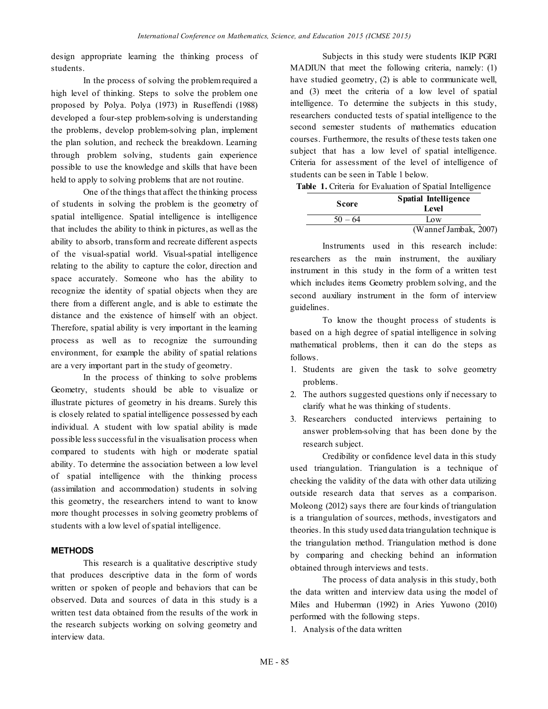design appropriate learning the thinking process of students.

In the process of solving the problem required a high level of thinking. Steps to solve the problem one proposed by Polya. Polya (1973) in Ruseffendi (1988) developed a four-step problem-solving is understanding the problems, develop problem-solving plan, implement the plan solution, and recheck the breakdown. Learning through problem solving, students gain experience possible to use the knowledge and skills that have been held to apply to solving problems that are not routine.

One of the things that affect the thinking process of students in solving the problem is the geometry of spatial intelligence. Spatial intelligence is intelligence that includes the ability to think in pictures, as well as the ability to absorb, transform and recreate different aspects of the visual-spatial world. Visual-spatial intelligence relating to the ability to capture the color, direction and space accurately. Someone who has the ability to recognize the identity of spatial objects when they are there from a different angle, and is able to estimate the distance and the existence of himself with an object. Therefore, spatial ability is very important in the learning process as well as to recognize the surrounding environment, for example the ability of spatial relations are a very important part in the study of geometry.

In the process of thinking to solve problems Geometry, students should be able to visualize or illustrate pictures of geometry in his dreams. Surely this is closely related to spatial intelligence possessed by each individual. A student with low spatial ability is made possible less successful in the visualisation process when compared to students with high or moderate spatial ability. To determine the association between a low level of spatial intelligence with the thinking process (assimilation and accommodation) students in solving this geometry, the researchers intend to want to know more thought processes in solving geometry problems of students with a low level of spatial intelligence.

# **METHODS**

This research is a qualitative descriptive study that produces descriptive data in the form of words written or spoken of people and behaviors that can be observed. Data and sources of data in this study is a written test data obtained from the results of the work in the research subjects working on solving geometry and interview data.

Subjects in this study were students IKIP PGRI MADIUN that meet the following criteria, namely: (1) have studied geometry, (2) is able to communicate well, and (3) meet the criteria of a low level of spatial intelligence. To determine the subjects in this study, researchers conducted tests of spatial intelligence to the second semester students of mathematics education courses. Furthermore, the results of these tests taken one subject that has a low level of spatial intelligence. Criteria for assessment of the level of intelligence of students can be seen in Table 1 below.

**Table 1.** Criteria for Evaluation of Spatial Intelligence

| <b>Score</b> | <b>Spatial Intelligence</b><br>Level |
|--------------|--------------------------------------|
| $50 - 64$    | Low                                  |
|              | (Wannef Jambak, 2007)                |

Instruments used in this research include: researchers as the main instrument, the auxiliary instrument in this study in the form of a written test which includes items Geometry problem solving, and the second auxiliary instrument in the form of interview guidelines.

To know the thought process of students is based on a high degree of spatial intelligence in solving mathematical problems, then it can do the steps as follows.

- 1. Students are given the task to solve geometry problems.
- 2. The authors suggested questions only if necessary to clarify what he was thinking of students.
- 3. Researchers conducted interviews pertaining to answer problem-solving that has been done by the research subject.

Credibility or confidence level data in this study used triangulation. Triangulation is a technique of checking the validity of the data with other data utilizing outside research data that serves as a comparison. Moleong (2012) says there are four kinds of triangulation is a triangulation of sources, methods, investigators and theories. In this study used data triangulation technique is the triangulation method. Triangulation method is done by comparing and checking behind an information obtained through interviews and tests.

The process of data analysis in this study, both the data written and interview data using the model of Miles and Huberman (1992) in Aries Yuwono (2010) performed with the following steps.

1. Analysis of the data written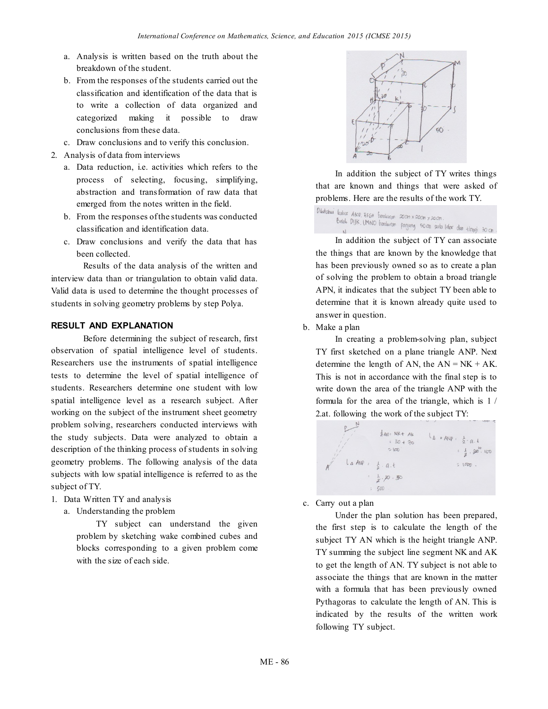- a. Analysis is written based on the truth about the breakdown of the student.
- b. From the responses of the students carried out the classification and identification of the data that is to write a collection of data organized and categorized making it possible to draw conclusions from these data.
- c. Draw conclusions and to verify this conclusion.
- 2. Analysis of data from interviews
	- a. Data reduction, i.e. activities which refers to the process of selecting, focusing, simplifying, abstraction and transformation of raw data that emerged from the notes written in the field.
	- b. From the responses of the students was conducted classification and identification data.
	- c. Draw conclusions and verify the data that has been collected.

Results of the data analysis of the written and interview data than or triangulation to obtain valid data. Valid data is used to determine the thought processes of students in solving geometry problems by step Polya.

# **RESULT AND EXPLANATION**

Before determining the subject of research, first observation of spatial intelligence level of students. Researchers use the instruments of spatial intelligence tests to determine the level of spatial intelligence of students. Researchers determine one student with low spatial intelligence level as a research subject. After working on the subject of the instrument sheet geometry problem solving, researchers conducted interviews with the study subjects. Data were analyzed to obtain a description of the thinking process of students in solving geometry problems. The following analysis of the data subjects with low spatial intelligence is referred to as the subject of TY.

- 1. Data Written TY and analysis
	- a. Understanding the problem

TY subject can understand the given problem by sketching wake combined cubes and blocks corresponding to a given problem come with the size of each side.



In addition the subject of TY writes things that are known and things that were asked of problems. Here are the results of the work TY.

```
Diketahui kubur ABCD EFGH berukuran 20cm x20cm x20cm
            Talio Aniv, Efett Datukuran 20cm x20cm x20cm.<br>Balok Dijik, IMNO batukuran panjang 50cm seria lehar dan tinggi 30cm.<br>N
```
In addition the subject of TY can associate the things that are known by the knowledge that has been previously owned so as to create a plan of solving the problem to obtain a broad triangle APN, it indicates that the subject TY been able to determine that it is known already quite used to answer in question.

# b. Make a plan

In creating a problem-solving plan, subject TY first sketched on a plane triangle ANP. Next determine the length of AN, the  $AN = NK + AK$ . This is not in accordance with the final step is to write down the area of the triangle ANP with the formula for the area of the triangle, which is 1 / 2.at. following the work of the subject TY:



c. Carry out a plan

Under the plan solution has been prepared, the first step is to calculate the length of the subject TY AN which is the height triangle ANP. TY summing the subject line segment NK and AK to get the length of AN. TY subject is not able to associate the things that are known in the matter with a formula that has been previously owned Pythagoras to calculate the length of AN. This is indicated by the results of the written work following TY subject.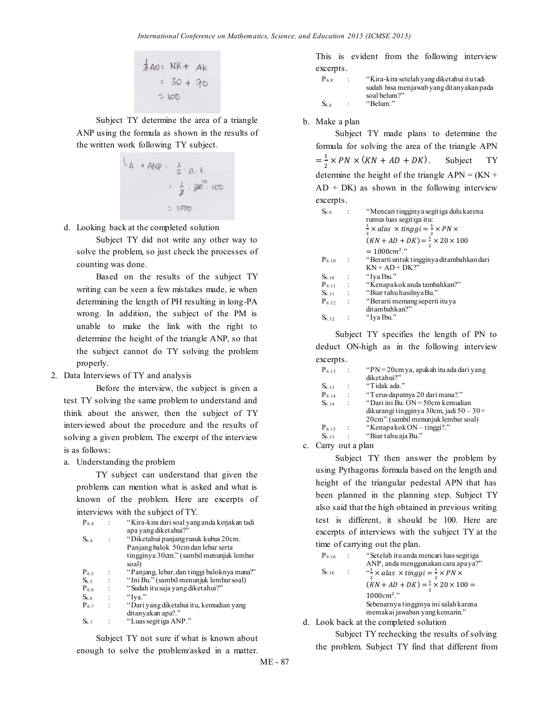$$
\frac{1}{4}AN = NR + AK
$$
\n
$$
= 30 + 70
$$
\n
$$
= 100
$$

Subject TY determine the area of a triangle ANP using the formula as shown in the results of the written work following TY subject.

$$
1_A \cdot \text{AND} = \frac{1}{2} \cdot a. t
$$
  
=  $\frac{1}{2} \cdot 20^{10}$   
= 1000.

d. Looking back at the completed solution

Subject TY did not write any other way to solve the problem, so just check the processes of counting was done.

Based on the results of the subject TY writing can be seen a few mistakes made, ie when determining the length of PH resulting in long-PA wrong. In addition, the subject of the PM is unable to make the link with the right to determine the height of the triangle ANP, so that the subject cannot do TY solving the problem properly.

2. Data Interviews of TY and analysis

Before the interview, the subject is given a test TY solving the same problem to understand and think about the answer, then the subject of TY interviewed about the procedure and the results of solving a given problem. The excerpt of the interview is as follows:

a. Understanding the problem

TY subject can understand that given the problems can mention what is asked and what is known of the problem. Here are excerpts of interviews with the subject of TY.

| $P_{6.4}$       |                | "Kira-kira dari soal yang anda kerjakan tadi<br>apa yang diketahui?"                                                            |
|-----------------|----------------|---------------------------------------------------------------------------------------------------------------------------------|
| S <sub>64</sub> | $\ddot{\cdot}$ | "Diketahui panjang rusuk kubus 20cm.<br>Panjang balok 50cm dan lebar serta<br>tingginya 30cm." (sambil menunjuk lembar<br>soal) |
| $P_{6.5}$       |                | "Panjang, lebar, dan tinggi baloknya mana?"                                                                                     |
| S <sub>65</sub> |                | "Ini Bu." (sambil menunjuk lembar soal)                                                                                         |
| $P_{6,6}$       |                | "Sudah itu saja yang diketahui?"                                                                                                |
| S6 6            |                | "Iva."                                                                                                                          |
| $P_{6.7}$       | $\ddot{\cdot}$ | "Dari yang diketahui itu, kemudian yang                                                                                         |
|                 |                | ditanyakan apa?."                                                                                                               |
| S6 7            |                | "Luas segitiga ANP."                                                                                                            |

Subject TY not sure if what is known about enough to solve the problem/asked in a matter.

This is evident from the following interview excerpts.

| $P_{6,8}$       | "Kira-kira setelah yang diketahui itu tadi |
|-----------------|--------------------------------------------|
|                 | sudah bisa menjawab yang ditanyakan pada   |
|                 | soal belum?"                               |
| S <sub>68</sub> | "Belum."                                   |

# b. Make a plan

Subject TY made plans to determine the formula for solving the area of the triangle APN  $=\frac{1}{2}$  $\frac{1}{2}$  x PN x (KN + AD + DK). Subject TY determine the height of the triangle  $APN = (KN +$  $AD + DK$ ) as shown in the following interview excerpts.

| Ss 9       |                         | "Mencari tingginya segitiga dulu karena<br>rumus luas segitiga itu:<br>$\frac{1}{2} \times a$ las $\times$ tinggi = $\frac{1}{2} \times PN \times$<br>$(KN + AD + DK) = \frac{1}{2} \times 20 \times 100$ |
|------------|-------------------------|-----------------------------------------------------------------------------------------------------------------------------------------------------------------------------------------------------------|
|            |                         | $=1000cm^2$ ."                                                                                                                                                                                            |
| $P_{6.10}$ | $\cdot$                 | "Berarti untuk tingginya ditambahkan dari                                                                                                                                                                 |
|            |                         | $KN + AD + DK?$                                                                                                                                                                                           |
| $S_{6,10}$ | $\ddot{\phantom{1}}$    | "Iya Ibu."                                                                                                                                                                                                |
| $P_{6,11}$ | $\langle \cdot \rangle$ | "Kenapa kok anda tambahkan?"                                                                                                                                                                              |
| $S_{6.11}$ | $\therefore$            | "Biar tahu hasilnya Bu."                                                                                                                                                                                  |
| $P_{6,12}$ | $\ddot{\phantom{1}}$    | "Berarti memang seperti itu ya                                                                                                                                                                            |
|            |                         | ditambahkan?"                                                                                                                                                                                             |
| $S_{6,12}$ |                         | "Iya Ibu."                                                                                                                                                                                                |

Subject TY specifies the length of PN to deduct ON-high as in the following interview excerpts.

| $P_{6,13}$ | " $PN = 20$ cm ya, apakah itu ada dari yang |
|------------|---------------------------------------------|
|            | diketahui?"                                 |
| $S_{6,13}$ | "Tidak ada."                                |
| $P_{6,14}$ | "Terus dapatnya 20 dari mana?."             |
| $S_{6,14}$ | "Dari ini Bu. ON = 50cm kemudian            |
|            | dikurangi tingginya 30cm, jadi $50 - 30 =$  |
|            | 20cm".(sambil menunjuk lembar soal)         |
| $P_{6,15}$ | "Kenapakok ON $-$ tinggi?."                 |
| $S_{6.15}$ | "Biar tahu aja Bu."                         |
|            |                                             |

c. Carry out a plan

Subject TY then answer the problem by using Pythagoras formula based on the length and height of the triangular pedestal APN that has been planned in the planning step. Subject TY also said that the high obtained in previous writing test is different, it should be 100. Here are excerpts of interviews with the subject TY at the time of carrying out the plan.

```
P_{6.16} : "Setelah itu anda mencari luas segitiga
                   ANP, anda menggunakan cara apa ya?"
S_{6.16}\mathbf{1}\frac{1}{2} \times alas \times tinggi = \frac{1}{2}\frac{1}{2} \times(KN + AD + DK) = \frac{1}{2}\frac{1}{2} \times1000 cm^2."
                   Sebenarnya tingginya ini salah karena 
                   memakai jawaban yang kemarin."
```
d. Look back at the completed solution

Subject TY rechecking the results of solving

the problem. Subject TY find that different from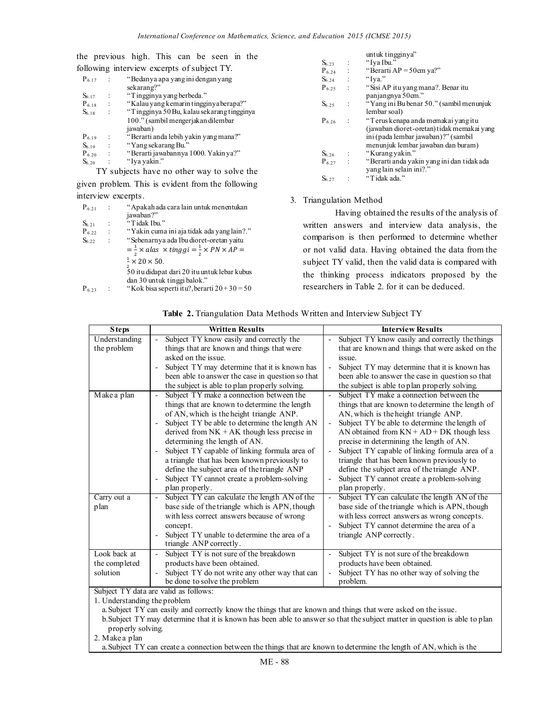the previous high. This can be seen in the following interview excerpts of subject TV

|                              | ollowing interview excerpts of subject I Y.                                                                                 |  |  |
|------------------------------|-----------------------------------------------------------------------------------------------------------------------------|--|--|
| $P_{6.17}$                   | "Bedanya apa yang ini denganyang                                                                                            |  |  |
|                              | sekarang?"                                                                                                                  |  |  |
| $S_{6,17}$                   | "Tingginya yang berbeda."                                                                                                   |  |  |
| $P_{6.18}$<br>$\ddot{\cdot}$ | "Kalau yang kemarin tingginya berapa?"                                                                                      |  |  |
| $S_{6.18}$                   | "Tingginya 50 Bu, kalau sekarang tingginya                                                                                  |  |  |
|                              | 100." (sambil mengerjakan dilembar                                                                                          |  |  |
|                              | jawaban)                                                                                                                    |  |  |
| $P_{6.19}$                   | "Berarti anda lebih yakin yang mana?"                                                                                       |  |  |
| $S_{6.19}$<br>$\ddot{\cdot}$ | "Yang sekarang Bu."                                                                                                         |  |  |
| $P_{6,20}$                   | "Berarti jawabannya 1000. Yakin ya?"                                                                                        |  |  |
| $S_{6,20}$                   | "Iya yakin."                                                                                                                |  |  |
|                              | $T\mathbf{V}$ and $\mathbf{I}$ is a subset of the subset of $\mathbf{I}$ and $\mathbf{I}$ and $\mathbf{I}$ and $\mathbf{I}$ |  |  |

TY subjects have no other way to solve the

given problem. This is evident from the following interview excerpts.

| $P_{6,21}$ |                      | "Apakah ada cara lain untuk menentukan                                         |
|------------|----------------------|--------------------------------------------------------------------------------|
|            |                      | jawaban?"                                                                      |
| $S_{6,21}$ | $\ddot{\phantom{a}}$ | "Tidak Ibu."                                                                   |
| $P_{6,22}$ | $\ddot{\cdot}$       | "Yakin cuma ini aja tidak ada yang lain?."                                     |
| $S_{6,22}$ | $\ddot{\cdot}$       | "Sebenarnya ada Ibu dioret-oretan yaitu                                        |
|            |                      | $=\frac{1}{2}\times a$ las $\times$ tinggi $=\frac{1}{2}\times PN \times AP =$ |
|            |                      | $\frac{1}{2} \times 20 \times 50$ .                                            |
|            |                      | 50 itu didapat dari 20 itu untuk lebar kubus                                   |
|            |                      | dan 30 untuk tinggi balok."                                                    |
| $P_{6.23}$ |                      | "Kok bisa seperti itu?, berarti $20+30=50$                                     |

|                  |                        | untuk tingginya"                           |
|------------------|------------------------|--------------------------------------------|
| $S_{6,23}$       |                        | "Iva Ibu."                                 |
| $P_{6,24}$       | $\sim 10^7$            | "Berarti AP = $50 \text{cm}$ ya?"          |
| S <sub>624</sub> | $\ddot{\phantom{1}}$ : | "Iya."                                     |
| $P_{6,25}$       |                        | "Sisi AP itu yang mana?. Benar itu         |
|                  |                        | panjangnya 50cm."                          |
| S <sub>625</sub> | ÷                      | "Yang ini Bu benar 50." (sambil menunjuk   |
|                  |                        | lembar soal)                               |
| $P_{6,26}$       |                        | "Terus kenapa anda memakai yang itu        |
|                  |                        | (jawaban dioret-oretan) tidak memakai yang |
|                  |                        | ini (pada lembar jawaban)?" (sambil        |
|                  |                        | menunjuk lembar jawaban dan buram)         |
| $S_{6,26}$       | $\ddot{\phantom{1}}$   | "Kurang yakin."                            |
| $P_{6,27}$       | $\ddot{\phantom{1}}$ : | "Berarti anda yakin yang ini dan tidak ada |
|                  |                        | yang lain selain ini?."                    |
| S6 27            |                        | "Tidak ada."                               |
|                  |                        |                                            |

## 3. Triangulation Method

Having obtained the results of the analysis of written answers and interview data analysis, the comparison is then performed to determine whether or not valid data. Having obtained the data from the subject TY valid, then the valid data is compared with the thinking process indicators proposed by the researchers in Table 2. for it can be deduced.

| <b>Steps</b>                              | <b>Written Results</b>                                                                                                                                                                                                                                                                                                                                                                                                                                                                                                    | <b>Interview Results</b>                                                                                                                                                                                                                                                                                                                                                                                                                                                                           |
|-------------------------------------------|---------------------------------------------------------------------------------------------------------------------------------------------------------------------------------------------------------------------------------------------------------------------------------------------------------------------------------------------------------------------------------------------------------------------------------------------------------------------------------------------------------------------------|----------------------------------------------------------------------------------------------------------------------------------------------------------------------------------------------------------------------------------------------------------------------------------------------------------------------------------------------------------------------------------------------------------------------------------------------------------------------------------------------------|
| Understanding<br>the problem              | Subject TY know easily and correctly the<br>$\overline{a}$<br>things that are known and things that were<br>asked on the issue.<br>Subject TY may determine that it is known has<br>$\overline{\phantom{0}}$<br>been able to answer the case in question so that<br>the subject is able to plan properly solving.                                                                                                                                                                                                         | Subject TY know easily and correctly the things<br>that are known and things that were asked on the<br>issue.<br>Subject TY may determine that it is known has<br>been able to answer the case in question so that<br>the subject is able to plan properly solving.                                                                                                                                                                                                                                |
| Make a plan                               | Subject TY make a connection between the<br>$\overline{a}$<br>things that are known to determine the length<br>of AN, which is the height triangle ANP.<br>Subject TY be able to determine the length AN<br>-<br>derived from $NK + AK$ though less precise in<br>determining the length of AN.<br>Subject TY capable of linking formula area of<br>-<br>a triangle that has been known previously to<br>define the subject area of the triangle ANP<br>Subject TY cannot create a problem-solving<br>-<br>plan properly. | Subject TY make a connection between the<br>things that are known to determine the length of<br>AN, which is the height triangle ANP.<br>Subject TY be able to determine the length of<br>AN obtained from $KN + AD + DK$ though less<br>precise in determining the length of AN.<br>Subject TY capable of linking formula area of a<br>triangle that has been known previously to<br>define the subject area of the triangle ANP.<br>Subject TY cannot create a problem-solving<br>plan properly. |
| Carry out a<br>plan                       | Subject TY can calculate the length AN of the<br>$\overline{\phantom{0}}$<br>base side of the triangle which is APN, though<br>with less correct answers because of wrong<br>concept.<br>Subject TY unable to determine the area of a<br>$\overline{\phantom{0}}$<br>triangle ANP correctly.                                                                                                                                                                                                                              | Subject TY can calculate the length AN of the<br>$\overline{\phantom{0}}$<br>base side of the triangle which is APN, though<br>with less correct answers as wrong concepts.<br>Subject TY cannot determine the area of a<br>triangle ANP correctly.                                                                                                                                                                                                                                                |
| Look back at<br>the completed<br>solution | Subject TY is not sure of the breakdown<br>products have been obtained.<br>Subject TY do not write any other way that can<br>be done to solve the problem<br>Subject TY data are valid as follows:                                                                                                                                                                                                                                                                                                                        | Subject TY is not sure of the breakdown<br>products have been obtained.<br>Subject TY has no other way of solving the<br>problem.                                                                                                                                                                                                                                                                                                                                                                  |

**Table 2.** Triangulation Data Methods Written and Interview Subject TY

Subject TY data are valid as follows:

1. Understanding the problem

a.Subject TY can easily and correctly know the things that are known and things that were asked on the issue. b.Subject TY may determine that it is known has been able to answer so that the subject matter in question is able to plan properly solving.

2. Make a plan

a.Subject TY can create a connection between the things that are known to determine the length of AN, which is the